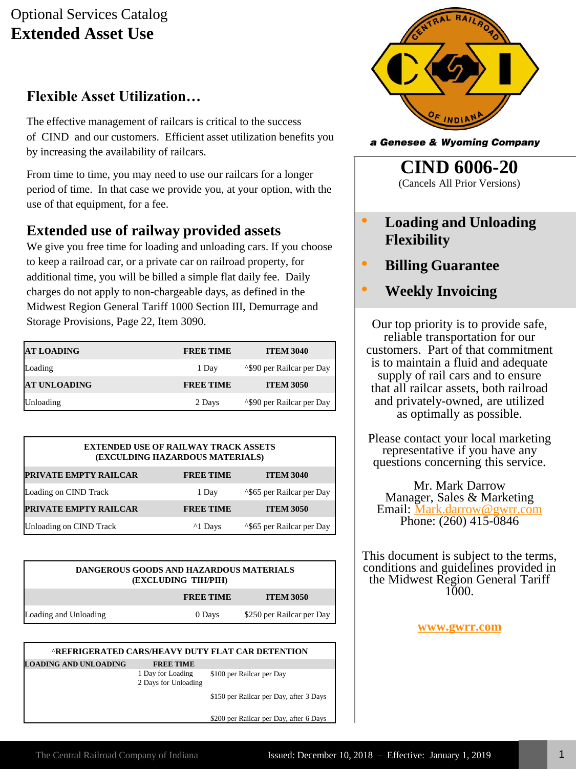## Optional Services Catalog **Extended Asset Use**

## **Flexible Asset Utilization…**

The effective management of railcars is critical to the success of CIND and our customers. Efficient asset utilization benefits you by increasing the availability of railcars.

From time to time, you may need to use our railcars for a longer period of time. In that case we provide you, at your option, with the use of that equipment, for a fee.

## **Extended use of railway provided assets**

We give you free time for loading and unloading cars. If you choose to keep a railroad car, or a private car on railroad property, for additional time, you will be billed a simple flat daily fee. Daily charges do not apply to non-chargeable days, as defined in the Midwest Region General Tariff 1000 Section III, Demurrage and Storage Provisions, Page 22, Item 3090.

| <b>AT LOADING</b>   | <b>FREE TIME</b> | <b>ITEM 3040</b>                      |
|---------------------|------------------|---------------------------------------|
| Loading             | 1 Day            | <sup>1</sup> \$90 per Railcar per Day |
| <b>AT UNLOADING</b> | <b>FREE TIME</b> | <b>ITEM 3050</b>                      |
| Unloading           | 2 Days           | ^\$90 per Railcar per Day             |

| <b>EXTENDED USE OF RAILWAY TRACK ASSETS</b><br>(EXCULDING HAZARDOUS MATERIALS) |                   |                                       |  |
|--------------------------------------------------------------------------------|-------------------|---------------------------------------|--|
| <b>PRIVATE EMPTY RAILCAR</b>                                                   | <b>FREE TIME</b>  | <b>ITEM 3040</b>                      |  |
| Loading on CIND Track                                                          | 1 Day             | <sup>1</sup> \$65 per Railcar per Day |  |
| PRIVATE EMPTY RAILCAR                                                          | <b>FREE TIME</b>  | <b>ITEM 3050</b>                      |  |
| Unloading on CIND Track                                                        | <sup>1</sup> Days | <sup>1</sup> \$65 per Railcar per Day |  |

| <b>DANGEROUS GOODS AND HAZARDOUS MATERIALS</b><br>(EXCLUDING TIH/PIH) |                  |                           |  |
|-----------------------------------------------------------------------|------------------|---------------------------|--|
|                                                                       | <b>FREE TIME</b> | <b>ITEM 3050</b>          |  |
| Loading and Unloading                                                 | 0 Days           | \$250 per Railcar per Day |  |

#### **^REFRIGERATED CARS/HEAVY DUTY FLAT CAR DETENTION**

**LOADING AND UNLOADING FREE TIME**

1 Day for Loading \$100 per Railcar per Day 2 Days for Unloading

\$150 per Railcar per Day, after 3 Days

\$200 per Railcar per Day, after 6 Days



a Genesee & Wyoming Company

**CIND 6006-20** (Cancels All Prior Versions)

- **Loading and Unloading Flexibility**
- **Billing Guarantee**
	- **Weekly Invoicing**

Our top priority is to provide safe, reliable transportation for our customers. Part of that commitment is to maintain a fluid and adequate supply of rail cars and to ensure that all railcar assets, both railroad and privately-owned, are utilized as optimally as possible.

Please contact your local marketing representative if you have any questions concerning this service.

Mr. Mark Darrow Manager, Sales & Marketing Email: [Mark.darrow@gwrr.com](mailto:Mark.darrow@gwrr.com) Phone: (260) 415-0846

This document is subject to the terms, conditions and guidelines provided in the Midwest Region General Tariff 1000.

**[www.gwrr.com](http://www.gwrr.com/)**